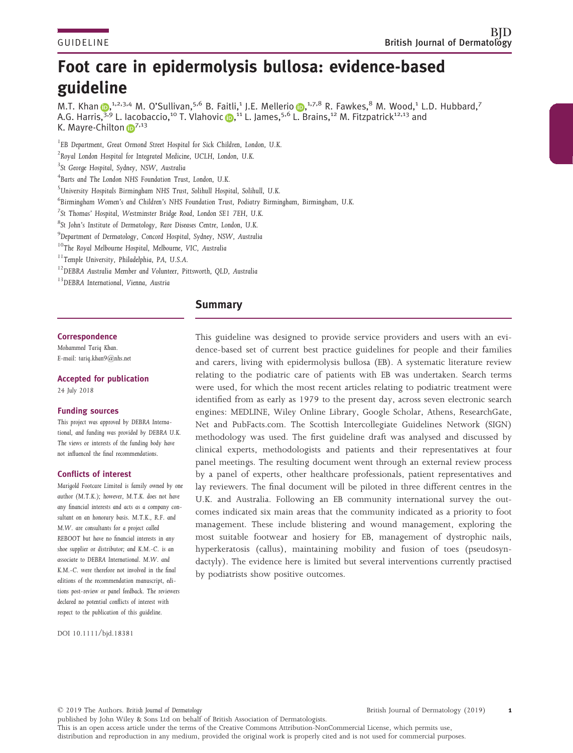# Foot care in epidermolysis bullosa: evidence-based guideline

M.T. Khan D,<sup>1,2,3,4</sup> M. O'Sullivan,<sup>5,6</sup> B. Faitli,<sup>1</sup> J.E. Mellerio D,<sup>1,7,8</sup> R. Fawkes,<sup>8</sup> M. Wood,<sup>1</sup> L.D. Hubbard,<sup>7</sup> A.G. Harri[s,](https://orcid.org/0000-0002-5447-491X)<sup>3,9</sup> L. la[c](https://orcid.org/0000-0002-5310-4706)obaccio,<sup>10</sup> T. Vlahovic **D**,<sup>11</sup> [L](https://orcid.org/0000-0002-2670-8117). James,<sup>5,6</sup> L. Brains,<sup>12</sup> M. Fitzpatrick<sup>12,13</sup> and K. Mayre-Chilton **[iD](https://orcid.org/0000-0003-3412-1153)** 7,13

1 EB Department, Great Ormond Street Hospital for Sick Children, London, U.K.

<sup>2</sup> Royal London Hospital for Integrated Medicine, UCLH, London, U.K.

4 Barts and The London NHS Foundation Trust, London, U.K.

5 University Hospitals Birmingham NHS Trust, Solihull Hospital, Solihull, U.K.

6 Birmingham Women's and Children's NHS Foundation Trust, Podiatry Birmingham, Birmingham, U.K.

7 St Thomas' Hospital, Westminster Bridge Road, London SE1 7EH, U.K.

8 St John's Institute of Dermatology, Rare Diseases Centre, London, U.K.

9 Department of Dermatology, Concord Hospital, Sydney, NSW, Australia

<sup>10</sup>The Royal Melbourne Hospital, Melbourne, VIC, Australia

11Temple University, Philadelphia, PA, U.S.A.

12DEBRA Australia Member and Volunteer, Pittsworth, QLD, Australia

<sup>13</sup>DEBRA International, Vienna, Austria

## Summary

## **Correspondence**

Mohammed Tariq Khan. E-mail: [tariq.khan9@nhs.net](mailto:)

Accepted for publication

24 July 2018

#### Funding sources

This project was approved by DEBRA International, and funding was provided by DEBRA U.K. The views or interests of the funding body have not influenced the final recommendations.

#### Conflicts of interest

Marigold Footcare Limited is family owned by one author (M.T.K.); however, M.T.K. does not have any financial interests and acts as a company consultant on an honorary basis. M.T.K., R.F. and M.W. are consultants for a project called REBOOT but have no financial interests in any shoe supplier or distributor; and K.M.-C. is an associate to DEBRA International. M.W. and K.M.-C. were therefore not involved in the final editions of the recommendation manuscript, editions post-review or panel feedback. The reviewers declared no potential conflicts of interest with respect to the publication of this guideline.

DOI 10.1111/bjd.18381

This guideline was designed to provide service providers and users with an evidence-based set of current best practice guidelines for people and their families and carers, living with epidermolysis bullosa (EB). A systematic literature review relating to the podiatric care of patients with EB was undertaken. Search terms were used, for which the most recent articles relating to podiatric treatment were identified from as early as 1979 to the present day, across seven electronic search engines: MEDLINE, Wiley Online Library, Google Scholar, Athens, ResearchGate, Net and PubFacts.com. The Scottish Intercollegiate Guidelines Network (SIGN) methodology was used. The first guideline draft was analysed and discussed by clinical experts, methodologists and patients and their representatives at four panel meetings. The resulting document went through an external review process by a panel of experts, other healthcare professionals, patient representatives and lay reviewers. The final document will be piloted in three different centres in the U.K. and Australia. Following an EB community international survey the outcomes indicated six main areas that the community indicated as a priority to foot management. These include blistering and wound management, exploring the most suitable footwear and hosiery for EB, management of dystrophic nails, hyperkeratosis (callus), maintaining mobility and fusion of toes (pseudosyndactyly). The evidence here is limited but several interventions currently practised by podiatrists show positive outcomes.

© 2019 The Authors. British Journal of Dermatology

published by John Wiley & Sons Ltd on behalf of British Association of Dermatologists. This is an open access article under the terms of the [Creative Commons Attribution-NonCommercial](http://creativecommons.org/licenses/by-nc/4.0/) License, which permits use, distribution and reproduction in any medium, provided the original work is properly cited and is not used for commercial purposes.

<sup>&</sup>lt;sup>3</sup>St George Hospital, Sydney, NSW, Australia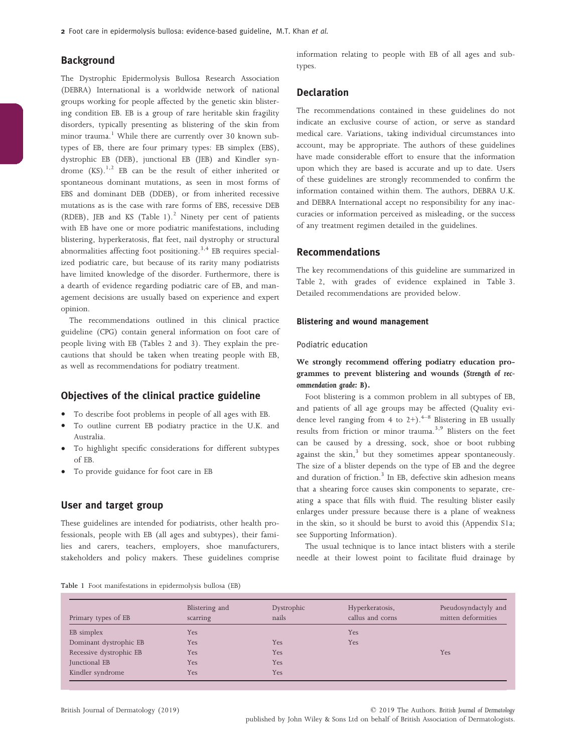2 Foot care in epidermolysis bullosa: evidence-based guideline, M.T. Khan et al.

## Background

The Dystrophic Epidermolysis Bullosa Research Association (DEBRA) International is a worldwide network of national groups working for people affected by the genetic skin blistering condition EB. EB is a group of rare heritable skin fragility disorders, typically presenting as blistering of the skin from minor trauma.<sup>1</sup> While there are currently over 30 known subtypes of EB, there are four primary types: EB simplex (EBS), dystrophic EB (DEB), junctional EB (JEB) and Kindler syndrome  $(KS)$ .<sup>1,2</sup> EB can be the result of either inherited or spontaneous dominant mutations, as seen in most forms of EBS and dominant DEB (DDEB), or from inherited recessive mutations as is the case with rare forms of EBS, recessive DEB (RDEB), JEB and KS (Table  $1$ ).<sup>2</sup> Ninety per cent of patients with EB have one or more podiatric manifestations, including blistering, hyperkeratosis, flat feet, nail dystrophy or structural abnormalities affecting foot positioning.<sup>3,4</sup> EB requires specialized podiatric care, but because of its rarity many podiatrists have limited knowledge of the disorder. Furthermore, there is a dearth of evidence regarding podiatric care of EB, and management decisions are usually based on experience and expert opinion.

The recommendations outlined in this clinical practice guideline (CPG) contain general information on foot care of people living with EB (Tables 2 and 3). They explain the precautions that should be taken when treating people with EB, as well as recommendations for podiatry treatment.

## Objectives of the clinical practice guideline

- To describe foot problems in people of all ages with EB.
- To outline current EB podiatry practice in the U.K. and Australia.
- To highlight specific considerations for different subtypes of EB.
- To provide guidance for foot care in EB

## User and target group

These guidelines are intended for podiatrists, other health professionals, people with EB (all ages and subtypes), their families and carers, teachers, employers, shoe manufacturers, stakeholders and policy makers. These guidelines comprise information relating to people with EB of all ages and subtypes.

# Declaration

The recommendations contained in these guidelines do not indicate an exclusive course of action, or serve as standard medical care. Variations, taking individual circumstances into account, may be appropriate. The authors of these guidelines have made considerable effort to ensure that the information upon which they are based is accurate and up to date. Users of these guidelines are strongly recommended to confirm the information contained within them. The authors, DEBRA U.K. and DEBRA International accept no responsibility for any inaccuracies or information perceived as misleading, or the success of any treatment regimen detailed in the guidelines.

# Recommendations

The key recommendations of this guideline are summarized in Table 2, with grades of evidence explained in Table 3. Detailed recommendations are provided below.

#### Blistering and wound management

#### Podiatric education

We strongly recommend offering podiatry education programmes to prevent blistering and wounds (Strength of recommendation grade: B).

Foot blistering is a common problem in all subtypes of EB, and patients of all age groups may be affected (Quality evidence level ranging from 4 to  $2+)$ .<sup>4-8</sup> Blistering in EB usually results from friction or minor trauma.<sup>3,9</sup> Blisters on the feet can be caused by a dressing, sock, shoe or boot rubbing against the skin, $3$  but they sometimes appear spontaneously. The size of a blister depends on the type of EB and the degree and duration of friction.<sup>3</sup> In EB, defective skin adhesion means that a shearing force causes skin components to separate, creating a space that fills with fluid. The resulting blister easily enlarges under pressure because there is a plane of weakness in the skin, so it should be burst to avoid this (Appendix S1a; see Supporting Information).

The usual technique is to lance intact blisters with a sterile needle at their lowest point to facilitate fluid drainage by

| Primary types of EB     | Blistering and<br>scarring | Dystrophic<br>nails | Hyperkeratosis,<br>callus and corns | Pseudosyndactyly and<br>mitten deformities |
|-------------------------|----------------------------|---------------------|-------------------------------------|--------------------------------------------|
| EB simplex              | <b>Yes</b>                 |                     | Yes                                 |                                            |
| Dominant dystrophic EB  | <b>Yes</b>                 | Yes                 | Yes                                 |                                            |
| Recessive dystrophic EB | Yes                        | Yes                 |                                     | Yes                                        |
| Junctional EB           | <b>Yes</b>                 | Yes                 |                                     |                                            |
| Kindler syndrome        | <b>Yes</b>                 | Yes                 |                                     |                                            |

© 2019 The Authors. British Journal of Dermatology published by John Wiley & Sons Ltd on behalf of British Association of Dermatologists.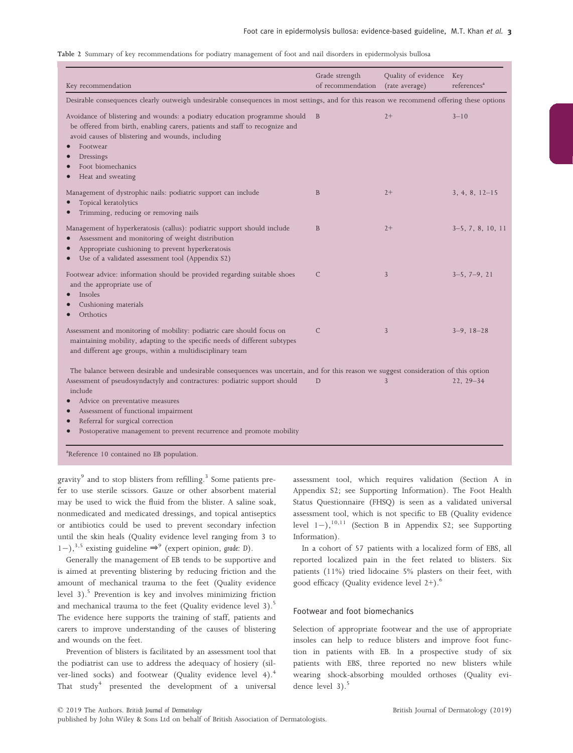#### Table 2 Summary of key recommendations for podiatry management of foot and nail disorders in epidermolysis bullosa

| Key recommendation                                                                                                                                                                                                                                                                     | Grade strength<br>of recommendation | Quality of evidence<br>(rate average) | Key<br>references <sup>a</sup> |
|----------------------------------------------------------------------------------------------------------------------------------------------------------------------------------------------------------------------------------------------------------------------------------------|-------------------------------------|---------------------------------------|--------------------------------|
| Desirable consequences clearly outweigh undesirable consequences in most settings, and for this reason we recommend offering these options                                                                                                                                             |                                     |                                       |                                |
| Avoidance of blistering and wounds: a podiatry education programme should<br>be offered from birth, enabling carers, patients and staff to recognize and<br>avoid causes of blistering and wounds, including<br>Footwear<br>Dressings<br>Foot biomechanics<br>Heat and sweating        | B                                   | $2+$                                  | $3 - 10$                       |
| Management of dystrophic nails: podiatric support can include<br>Topical keratolytics<br>Trimming, reducing or removing nails                                                                                                                                                          | B                                   | $2+$                                  | $3, 4, 8, 12-15$               |
| Management of hyperkeratosis (callus): podiatric support should include<br>Assessment and monitoring of weight distribution<br>Appropriate cushioning to prevent hyperkeratosis<br>Use of a validated assessment tool (Appendix S2)                                                    | B                                   | $2+$                                  | $3-5, 7, 8, 10, 11$            |
| Footwear advice: information should be provided regarding suitable shoes<br>and the appropriate use of<br>Insoles<br>Cushioning materials<br>Orthotics                                                                                                                                 | C                                   | $\mathfrak{Z}$                        | $3-5, 7-9, 21$                 |
| Assessment and monitoring of mobility: podiatric care should focus on<br>maintaining mobility, adapting to the specific needs of different subtypes<br>and different age groups, within a multidisciplinary team                                                                       | $\mathsf{C}$                        | 3                                     | $3-9, 18-28$                   |
| The balance between desirable and undesirable consequences was uncertain, and for this reason we suggest consideration of this option                                                                                                                                                  |                                     |                                       |                                |
| Assessment of pseudosyndactyly and contractures: podiatric support should<br>include<br>Advice on preventative measures<br>Assessment of functional impairment<br>Referral for surgical correction<br>$\bullet$<br>Postoperative management to prevent recurrence and promote mobility | D                                   | 3                                     | $22, 29 - 34$                  |

gravity<sup>9</sup> and to stop blisters from refilling.<sup>3</sup> Some patients prefer to use sterile scissors. Gauze or other absorbent material may be used to wick the fluid from the blister. A saline soak, nonmedicated and medicated dressings, and topical antiseptics or antibiotics could be used to prevent secondary infection until the skin heals (Quality evidence level ranging from 3 to 1–),<sup>3,5</sup> existing guideline ⇒<sup>9</sup> (expert opinion, grade: D).

Generally the management of EB tends to be supportive and is aimed at preventing blistering by reducing friction and the amount of mechanical trauma to the feet (Quality evidence level 3).<sup>5</sup> Prevention is key and involves minimizing friction and mechanical trauma to the feet (Quality evidence level 3).<sup>5</sup> The evidence here supports the training of staff, patients and carers to improve understanding of the causes of blistering and wounds on the feet.

Prevention of blisters is facilitated by an assessment tool that the podiatrist can use to address the adequacy of hosiery (silver-lined socks) and footwear (Quality evidence level 4).<sup>4</sup> That  $study<sup>4</sup> presented the development of a universal$  assessment tool, which requires validation (Section A in Appendix S2; see Supporting Information). The Foot Health Status Questionnaire (FHSQ) is seen as a validated universal assessment tool, which is not specific to EB (Quality evidence level  $1-$ ),<sup>10,11</sup> (Section B in Appendix S2; see Supporting Information).

In a cohort of 57 patients with a localized form of EBS, all reported localized pain in the feet related to blisters. Six patients (11%) tried lidocaine 5% plasters on their feet, with good efficacy (Quality evidence level  $2+)$ .<sup>6</sup>

#### Footwear and foot biomechanics

Selection of appropriate footwear and the use of appropriate insoles can help to reduce blisters and improve foot function in patients with EB. In a prospective study of six patients with EBS, three reported no new blisters while wearing shock-absorbing moulded orthoses (Quality evidence level  $3)$ .<sup>5</sup>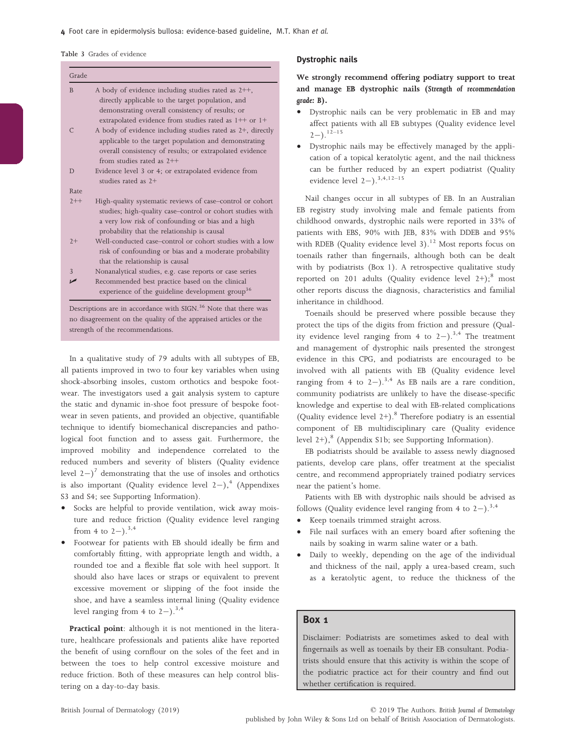Table 3 Grades of evidence

| Grade          |                                                                                                                                                                                                                            |
|----------------|----------------------------------------------------------------------------------------------------------------------------------------------------------------------------------------------------------------------------|
| <sub>B</sub>   | A body of evidence including studies rated as $2++$ ,<br>directly applicable to the target population, and<br>demonstrating overall consistency of results; or<br>extrapolated evidence from studies rated as 1++ or 1+    |
| $\mathcal{C}$  | A body of evidence including studies rated as 2+, directly<br>applicable to the target population and demonstrating<br>overall consistency of results; or extrapolated evidence<br>from studies rated as $2++$             |
| D              | Evidence level 3 or 4; or extrapolated evidence from<br>studies rated as $2+$                                                                                                                                              |
| Rate           |                                                                                                                                                                                                                            |
| $2++$          | High-quality systematic reviews of case-control or cohort<br>studies; high-quality case-control or cohort studies with<br>a very low risk of confounding or bias and a high<br>probability that the relationship is causal |
| $2+$           | Well-conducted case-control or cohort studies with a low<br>risk of confounding or bias and a moderate probability<br>that the relationship is causal                                                                      |
| $\overline{3}$ | Nonanalytical studies, e.g. case reports or case series                                                                                                                                                                    |
|                | Recommended best practice based on the clinical<br>experience of the guideline development group <sup>36</sup>                                                                                                             |

Descriptions are in accordance with SIGN.<sup>36</sup> Note that there was no disagreement on the quality of the appraised articles or the strength of the recommendations.

In a qualitative study of 79 adults with all subtypes of EB, all patients improved in two to four key variables when using shock-absorbing insoles, custom orthotics and bespoke footwear. The investigators used a gait analysis system to capture the static and dynamic in-shoe foot pressure of bespoke footwear in seven patients, and provided an objective, quantifiable technique to identify biomechanical discrepancies and pathological foot function and to assess gait. Furthermore, the improved mobility and independence correlated to the reduced numbers and severity of blisters (Quality evidence level  $2-j^7$  demonstrating that the use of insoles and orthotics is also important (Quality evidence level  $2-$ ),<sup>4</sup> (Appendixes S3 and S4; see Supporting Information).

- Socks are helpful to provide ventilation, wick away moisture and reduce friction (Quality evidence level ranging from 4 to  $2-$ ).<sup>3,4</sup>
- Footwear for patients with EB should ideally be firm and comfortably fitting, with appropriate length and width, a rounded toe and a flexible flat sole with heel support. It should also have laces or straps or equivalent to prevent excessive movement or slipping of the foot inside the shoe, and have a seamless internal lining (Quality evidence level ranging from 4 to  $2-$ ).<sup>3,4</sup>

Practical point: although it is not mentioned in the literature, healthcare professionals and patients alike have reported the benefit of using cornflour on the soles of the feet and in between the toes to help control excessive moisture and reduce friction. Both of these measures can help control blistering on a day-to-day basis.

### Dystrophic nails

We strongly recommend offering podiatry support to treat and manage EB dystrophic nails (Strength of recommendation grade: B).

- Dystrophic nails can be very problematic in EB and may affect patients with all EB subtypes (Quality evidence level  $2-$ ).<sup>12–15</sup>
- Dystrophic nails may be effectively managed by the application of a topical keratolytic agent, and the nail thickness can be further reduced by an expert podiatrist (Quality evidence level  $2-$ ).<sup>3,4,12–15</sup>

Nail changes occur in all subtypes of EB. In an Australian EB registry study involving male and female patients from childhood onwards, dystrophic nails were reported in 33% of patients with EBS, 90% with JEB, 83% with DDEB and 95% with RDEB (Quality evidence level  $3$ ).<sup>12</sup> Most reports focus on toenails rather than fingernails, although both can be dealt with by podiatrists (Box 1). A retrospective qualitative study reported on 201 adults (Quality evidence level  $2+)$ ;<sup>8</sup> most other reports discuss the diagnosis, characteristics and familial inheritance in childhood.

Toenails should be preserved where possible because they protect the tips of the digits from friction and pressure (Quality evidence level ranging from 4 to  $2-$ ).<sup>3,4</sup> The treatment and management of dystrophic nails presented the strongest evidence in this CPG, and podiatrists are encouraged to be involved with all patients with EB (Quality evidence level ranging from 4 to  $2-$ ).<sup>3,4</sup> As EB nails are a rare condition, community podiatrists are unlikely to have the disease-specific knowledge and expertise to deal with EB-related complications (Quality evidence level  $2+)$ .<sup>8</sup> Therefore podiatry is an essential component of EB multidisciplinary care (Quality evidence level  $2+$ ),  $8$  (Appendix S1b; see Supporting Information).

EB podiatrists should be available to assess newly diagnosed patients, develop care plans, offer treatment at the specialist centre, and recommend appropriately trained podiatry services near the patient's home.

Patients with EB with dystrophic nails should be advised as follows (Quality evidence level ranging from 4 to  $2-$ ).<sup>3,4</sup><br>• Keep toenails trimmed straight across

- Keep toenails trimmed straight across.
- File nail surfaces with an emery board after softening the nails by soaking in warm saline water or a bath.
- Daily to weekly, depending on the age of the individual and thickness of the nail, apply a urea-based cream, such as a keratolytic agent, to reduce the thickness of the

## Box 1

Disclaimer: Podiatrists are sometimes asked to deal with fingernails as well as toenails by their EB consultant. Podiatrists should ensure that this activity is within the scope of the podiatric practice act for their country and find out whether certification is required.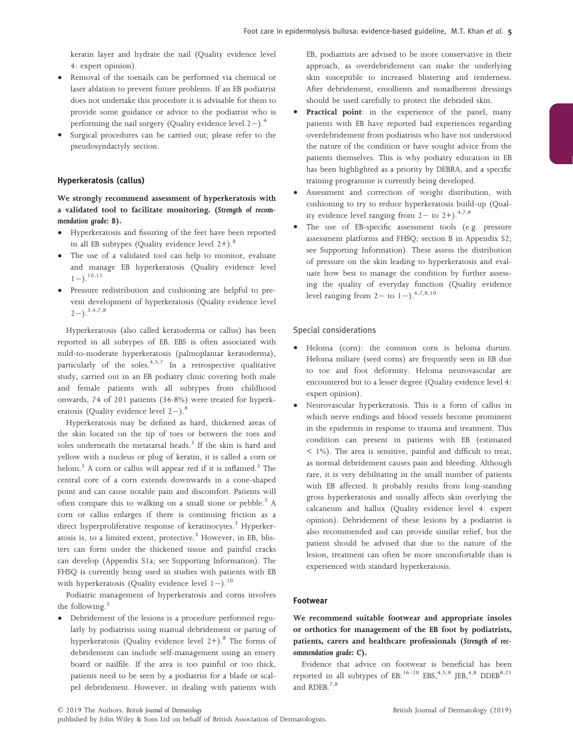keratin layer and hydrate the nail (Quality evidence level 4: expert opinion).

- Removal of the toenails can be performed via chemical or laser ablation to prevent future problems. If an EB podiatrist does not undertake this procedure it is advisable for them to provide some guidance or advice to the podiatrist who is performing the nail surgery (Quality evidence level  $2-$ ).<sup>4</sup>
- Surgical procedures can be carried out; please refer to the pseudosyndactyly section.

#### Hyperkeratosis (callus)

We strongly recommend assessment of hyperkeratosis with a validated tool to facilitate monitoring. (Strength of recommendation grade: B).

- Hyperkeratosis and fissuring of the feet have been reported in all EB subtypes (Quality evidence level  $2+$ ).<sup>8</sup>
- The use of a validated tool can help to monitor, evaluate and manage EB hyperkeratosis (Quality evidence level  $1-1$ .<sup>10,11</sup>
- Pressure redistribution and cushioning are helpful to prevent development of hyperkeratosis (Quality evidence level  $(2-)$ .<sup>3,4,7,8</sup>

Hyperkeratosis (also called keratoderma or callus) has been reported in all subtypes of EB. EBS is often associated with mild-to-moderate hyperkeratosis (palmoplantar keratoderma), particularly of the soles. $4,5,7$  In a retrospective qualitative study, carried out in an EB podiatry clinic covering both male and female patients with all subtypes from childhood onwards, 74 of 201 patients (36.8%) were treated for hyperkeratosis (Quality evidence level  $2-$ ).<sup>8</sup>

Hyperkeratosis may be defined as hard, thickened areas of the skin located on the tip of toes or between the toes and soles underneath the metatarsal heads.<sup>3</sup> If the skin is hard and yellow with a nucleus or plug of keratin, it is called a corn or helom.<sup>3</sup> A corn or callus will appear red if it is inflamed.<sup>3</sup> The central core of a corn extends downwards in a cone-shaped point and can cause notable pain and discomfort. Patients will often compare this to walking on a small stone or pebble.<sup>3</sup> A corn or callus enlarges if there is continuing friction as a direct hyperproliferative response of keratinocytes.<sup>3</sup> Hyperkeratosis is, to a limited extent, protective.<sup>3</sup> However, in EB, blisters can form under the thickened tissue and painful cracks can develop (Appendix S1a; see Supporting Information). The FHSQ is currently being used in studies with patients with EB with hyperkeratosis (Quality evidence level  $1-$ ).<sup>10</sup>

Podiatric management of hyperkeratosis and corns involves the following.<sup>3</sup>

• Debridement of the lesions is a procedure performed regularly by podiatrists using manual debridement or paring of hyperkeratosis (Quality evidence level  $2+$ ).<sup>8</sup> The forms of debridement can include self-management using an emery board or nailfile. If the area is too painful or too thick, patients need to be seen by a podiatrist for a blade or scalpel debridement. However, in dealing with patients with EB, podiatrists are advised to be more conservative in their approach, as overdebridement can make the underlying skin susceptible to increased blistering and tenderness. After debridement, emollients and nonadherent dressings should be used carefully to protect the debrided skin.

- Practical point: in the experience of the panel, many patients with EB have reported bad experiences regarding overdebridement from podiatrists who have not understood the nature of the condition or have sought advice from the patients themselves. This is why podiatry education in EB has been highlighted as a priority by DEBRA, and a specific training programme is currently being developed.
- Assessment and correction of weight distribution, with cushioning to try to reduce hyperkeratosis build-up (Quality evidence level ranging from  $2-$  to  $2+$ ).<sup>4,7,8</sup>
- The use of EB-specific assessment tools (e.g. pressure assessment platforms and FHSQ; section B in Appendix S2; see Supporting Information). These assess the distribution of pressure on the skin leading to hyperkeratosis and evaluate how best to manage the condition by further assessing the quality of everyday function (Quality evidence level ranging from  $2-$  to  $1-$ ).<sup>4,7,8,10</sup>

#### Special considerations

- Heloma (corn): the common corn is heloma durum. Heloma miliare (seed corns) are frequently seen in EB due to toe and foot deformity. Heloma neurovascular are encountered but to a lesser degree (Quality evidence level 4: expert opinion).
- Neurovascular hyperkeratosis. This is a form of callus in which nerve endings and blood vessels become prominent in the epidermis in response to trauma and treatment. This condition can present in patients with EB (estimated < 1%). The area is sensitive, painful and difficult to treat, as normal debridement causes pain and bleeding. Although rare, it is very debilitating in the small number of patients with EB affected. It probably results from long-standing gross hyperkeratosis and usually affects skin overlying the calcaneum and hallux (Quality evidence level 4: expert opinion). Debridement of these lesions by a podiatrist is also recommended and can provide similar relief, but the patient should be advised that due to the nature of the lesion, treatment can often be more uncomfortable than is experienced with standard hyperkeratosis.

## Footwear

We recommend suitable footwear and appropriate insoles or orthotics for management of the EB foot by podiatrists, patients, carers and healthcare professionals (Strength of recommendation grade: C).

Evidence that advice on footwear is beneficial has been reported in all subtypes of  $EB: ^{16-20}$   $EBS, ^{4,5,8}$  JEB,<sup>4,8</sup> DDEB<sup>8,21</sup> and RDEB.<sup>7,8</sup>

published by John Wiley & Sons Ltd on behalf of British Association of Dermatologists.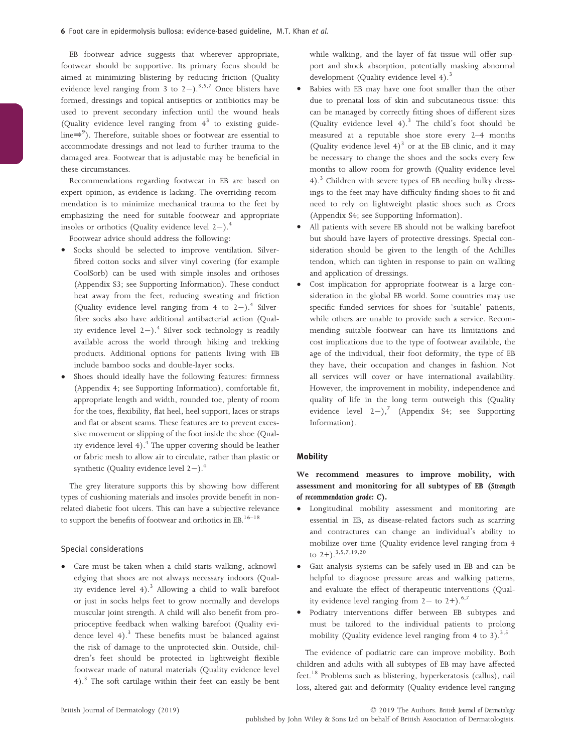EB footwear advice suggests that wherever appropriate, footwear should be supportive. Its primary focus should be aimed at minimizing blistering by reducing friction (Quality evidence level ranging from 3 to  $2-$ ).<sup>3,5,7</sup> Once blisters have formed, dressings and topical antiseptics or antibiotics may be used to prevent secondary infection until the wound heals (Quality evidence level ranging from  $4<sup>3</sup>$  to existing guideline⇒<sup>9</sup> ). Therefore, suitable shoes or footwear are essential to accommodate dressings and not lead to further trauma to the damaged area. Footwear that is adjustable may be beneficial in these circumstances.

Recommendations regarding footwear in EB are based on expert opinion, as evidence is lacking. The overriding recommendation is to minimize mechanical trauma to the feet by emphasizing the need for suitable footwear and appropriate insoles or orthotics (Quality evidence level  $2-$ ).<sup>4</sup>

Footwear advice should address the following:

- Socks should be selected to improve ventilation. Silverfibred cotton socks and silver vinyl covering (for example CoolSorb) can be used with simple insoles and orthoses (Appendix S3; see Supporting Information). These conduct heat away from the feet, reducing sweating and friction (Quality evidence level ranging from 4 to  $2-$ ).<sup>4</sup> Silverfibre socks also have additional antibacterial action (Quality evidence level  $2-$ ).<sup>4</sup> Silver sock technology is readily available across the world through hiking and trekking products. Additional options for patients living with EB include bamboo socks and double-layer socks.
- Shoes should ideally have the following features: firmness (Appendix 4; see Supporting Information), comfortable fit, appropriate length and width, rounded toe, plenty of room for the toes, flexibility, flat heel, heel support, laces or straps and flat or absent seams. These features are to prevent excessive movement or slipping of the foot inside the shoe (Quality evidence level  $4$ ).<sup>4</sup> The upper covering should be leather or fabric mesh to allow air to circulate, rather than plastic or synthetic (Quality evidence level  $2-$ ).<sup>4</sup>

The grey literature supports this by showing how different types of cushioning materials and insoles provide benefit in nonrelated diabetic foot ulcers. This can have a subjective relevance to support the benefits of footwear and orthotics in  $EB$ .<sup>16–18</sup>

#### Special considerations

Care must be taken when a child starts walking, acknowledging that shoes are not always necessary indoors (Quality evidence level  $4$ ).<sup>3</sup> Allowing a child to walk barefoot or just in socks helps feet to grow normally and develops muscular joint strength. A child will also benefit from proprioceptive feedback when walking barefoot (Quality evidence level  $4$ ).<sup>3</sup> These benefits must be balanced against the risk of damage to the unprotected skin. Outside, children's feet should be protected in lightweight flexible footwear made of natural materials (Quality evidence level 4).3 The soft cartilage within their feet can easily be bent while walking, and the layer of fat tissue will offer support and shock absorption, potentially masking abnormal development (Quality evidence level 4).<sup>3</sup>

- Babies with EB may have one foot smaller than the other due to prenatal loss of skin and subcutaneous tissue: this can be managed by correctly fitting shoes of different sizes (Quality evidence level  $4$ ).<sup>3</sup> The child's foot should be measured at a reputable shoe store every 2–4 months (Quality evidence level  $4$ )<sup>3</sup> or at the EB clinic, and it may be necessary to change the shoes and the socks every few months to allow room for growth (Quality evidence level 4).3 Children with severe types of EB needing bulky dressings to the feet may have difficulty finding shoes to fit and need to rely on lightweight plastic shoes such as Crocs (Appendix S4; see Supporting Information).
- All patients with severe EB should not be walking barefoot but should have layers of protective dressings. Special consideration should be given to the length of the Achilles tendon, which can tighten in response to pain on walking and application of dressings.
- Cost implication for appropriate footwear is a large consideration in the global EB world. Some countries may use specific funded services for shoes for 'suitable' patients, while others are unable to provide such a service. Recommending suitable footwear can have its limitations and cost implications due to the type of footwear available, the age of the individual, their foot deformity, the type of EB they have, their occupation and changes in fashion. Not all services will cover or have international availability. However, the improvement in mobility, independence and quality of life in the long term outweigh this (Quality evidence level  $2-j$ ,<sup>7</sup> (Appendix S4; see Supporting Information).

## **Mobility**

## We recommend measures to improve mobility, with assessment and monitoring for all subtypes of EB (Strength of recommendation grade: C).

- Longitudinal mobility assessment and monitoring are essential in EB, as disease-related factors such as scarring and contractures can change an individual's ability to mobilize over time (Quality evidence level ranging from 4 to 2+).3,5,7,19,20
- Gait analysis systems can be safely used in EB and can be helpful to diagnose pressure areas and walking patterns, and evaluate the effect of therapeutic interventions (Quality evidence level ranging from  $2-$  to  $2+$ ).<sup>6,7</sup>
- Podiatry interventions differ between EB subtypes and must be tailored to the individual patients to prolong mobility (Quality evidence level ranging from 4 to 3). $^{3,5}$

The evidence of podiatric care can improve mobility. Both children and adults with all subtypes of EB may have affected feet.<sup>18</sup> Problems such as blistering, hyperkeratosis (callus), nail loss, altered gait and deformity (Quality evidence level ranging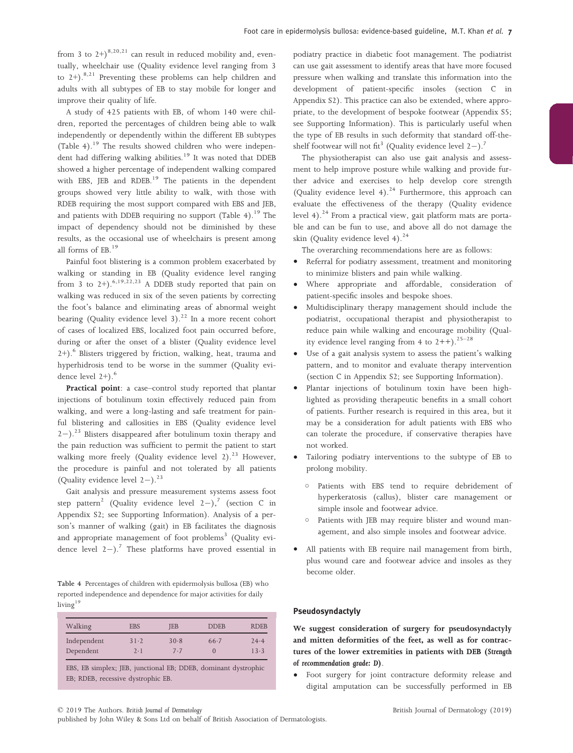from 3 to  $2^+$ )<sup>8,20,21</sup> can result in reduced mobility and, eventually, wheelchair use (Quality evidence level ranging from 3 to  $2+)$ .<sup>8,21</sup> Preventing these problems can help children and adults with all subtypes of EB to stay mobile for longer and improve their quality of life.

A study of 425 patients with EB, of whom 140 were children, reported the percentages of children being able to walk independently or dependently within the different EB subtypes (Table 4).19 The results showed children who were independent had differing walking abilities.<sup>19</sup> It was noted that DDEB showed a higher percentage of independent walking compared with EBS, JEB and RDEB.<sup>19</sup> The patients in the dependent groups showed very little ability to walk, with those with RDEB requiring the most support compared with EBS and JEB, and patients with DDEB requiring no support (Table 4).<sup>19</sup> The impact of dependency should not be diminished by these results, as the occasional use of wheelchairs is present among all forms of EB.<sup>19</sup>

Painful foot blistering is a common problem exacerbated by walking or standing in EB (Quality evidence level ranging from 3 to 2+).<sup>6,19,22,23</sup> A DDEB study reported that pain on walking was reduced in six of the seven patients by correcting the foot's balance and eliminating areas of abnormal weight bearing (Quality evidence level 3).<sup>22</sup> In a more recent cohort of cases of localized EBS, localized foot pain occurred before, during or after the onset of a blister (Quality evidence level  $2+$ ).<sup>6</sup> Blisters triggered by friction, walking, heat, trauma and hyperhidrosis tend to be worse in the summer (Quality evidence level  $2+$ ).<sup>6</sup>

Practical point: a case–control study reported that plantar injections of botulinum toxin effectively reduced pain from walking, and were a long-lasting and safe treatment for painful blistering and callosities in EBS (Quality evidence level  $2-$ ).<sup>23</sup> Blisters disappeared after botulinum toxin therapy and the pain reduction was sufficient to permit the patient to start walking more freely (Quality evidence level 2).<sup>23</sup> However, the procedure is painful and not tolerated by all patients (Quality evidence level  $2-$ ).<sup>23</sup>

Gait analysis and pressure measurement systems assess foot step pattern<sup>2</sup> (Quality evidence level  $2-$ ),<sup>7</sup> (section C in Appendix S2; see Supporting Information). Analysis of a person's manner of walking (gait) in EB facilitates the diagnosis and appropriate management of foot problems<sup>3</sup> (Quality evidence level  $2-$ ).<sup>7</sup> These platforms have proved essential in

Table 4 Percentages of children with epidermolysis bullosa (EB) who reported independence and dependence for major activities for daily living $19$ 

| Walking     | <b>EBS</b> | JEB  | <b>DDEB</b> | <b>RDEB</b> |
|-------------|------------|------|-------------|-------------|
| Independent | 31.2       | 30.8 | 66.7        | 24.4        |
| Dependent   | 7.1        | 7.7  |             | 13.3        |

EBS, EB simplex; JEB, junctional EB; DDEB, dominant dystrophic EB; RDEB, recessive dystrophic EB.

podiatry practice in diabetic foot management. The podiatrist can use gait assessment to identify areas that have more focused pressure when walking and translate this information into the development of patient-specific insoles (section C in Appendix S2). This practice can also be extended, where appropriate, to the development of bespoke footwear (Appendix S5; see Supporting Information). This is particularly useful when the type of EB results in such deformity that standard off-theshelf footwear will not fit<sup>3</sup> (Quality evidence level  $2-$ ).<sup>7</sup>

The physiotherapist can also use gait analysis and assessment to help improve posture while walking and provide further advice and exercises to help develop core strength (Quality evidence level 4). $24$  Furthermore, this approach can evaluate the effectiveness of the therapy (Quality evidence level 4). $^{24}$  From a practical view, gait platform mats are portable and can be fun to use, and above all do not damage the skin (Quality evidence level 4). $^{24}$ 

The overarching recommendations here are as follows:

- Referral for podiatry assessment, treatment and monitoring to minimize blisters and pain while walking.
- Where appropriate and affordable, consideration of patient-specific insoles and bespoke shoes.
- Multidisciplinary therapy management should include the podiatrist, occupational therapist and physiotherapist to reduce pain while walking and encourage mobility (Quality evidence level ranging from 4 to  $2++$ ).<sup>25-28</sup>
- Use of a gait analysis system to assess the patient's walking pattern, and to monitor and evaluate therapy intervention (section C in Appendix S2; see Supporting Information).
- Plantar injections of botulinum toxin have been highlighted as providing therapeutic benefits in a small cohort of patients. Further research is required in this area, but it may be a consideration for adult patients with EBS who can tolerate the procedure, if conservative therapies have not worked.
- Tailoring podiatry interventions to the subtype of EB to prolong mobility.
	- Patients with EBS tend to require debridement of hyperkeratosis (callus), blister care management or simple insole and footwear advice.
	- Patients with JEB may require blister and wound management, and also simple insoles and footwear advice.
- All patients with EB require nail management from birth, plus wound care and footwear advice and insoles as they become older.

#### Pseudosyndactyly

We suggest consideration of surgery for pseudosyndactyly and mitten deformities of the feet, as well as for contractures of the lower extremities in patients with DEB (Strength of recommendation grade: D).

• Foot surgery for joint contracture deformity release and digital amputation can be successfully performed in EB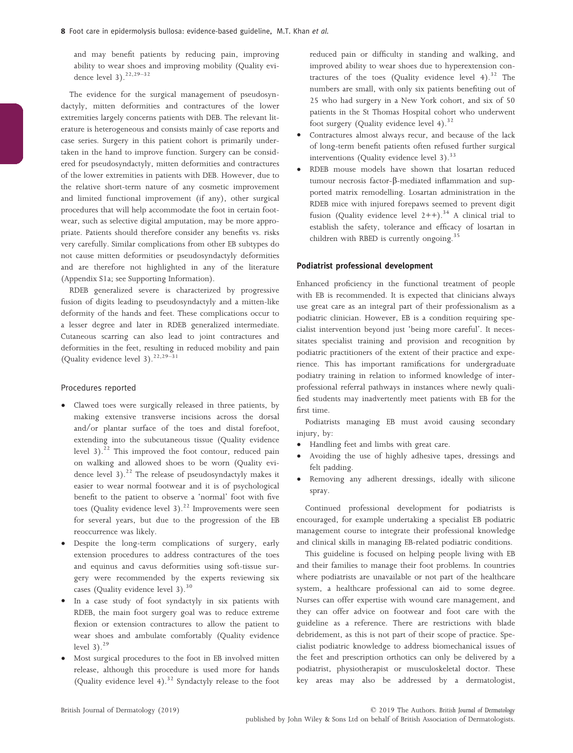and may benefit patients by reducing pain, improving ability to wear shoes and improving mobility (Quality evidence level  $3$ ).<sup>22,29–32</sup>

The evidence for the surgical management of pseudosyndactyly, mitten deformities and contractures of the lower extremities largely concerns patients with DEB. The relevant literature is heterogeneous and consists mainly of case reports and case series. Surgery in this patient cohort is primarily undertaken in the hand to improve function. Surgery can be considered for pseudosyndactyly, mitten deformities and contractures of the lower extremities in patients with DEB. However, due to the relative short-term nature of any cosmetic improvement and limited functional improvement (if any), other surgical procedures that will help accommodate the foot in certain footwear, such as selective digital amputation, may be more appropriate. Patients should therefore consider any benefits vs. risks very carefully. Similar complications from other EB subtypes do not cause mitten deformities or pseudosyndactyly deformities and are therefore not highlighted in any of the literature (Appendix S1a; see Supporting Information).

RDEB generalized severe is characterized by progressive fusion of digits leading to pseudosyndactyly and a mitten-like deformity of the hands and feet. These complications occur to a lesser degree and later in RDEB generalized intermediate. Cutaneous scarring can also lead to joint contractures and deformities in the feet, resulting in reduced mobility and pain (Quality evidence level  $3).^{22,29-31}$ 

#### Procedures reported

- Clawed toes were surgically released in three patients, by making extensive transverse incisions across the dorsal and/or plantar surface of the toes and distal forefoot, extending into the subcutaneous tissue (Quality evidence level 3).<sup>22</sup> This improved the foot contour, reduced pain on walking and allowed shoes to be worn (Quality evidence level 3).<sup>22</sup> The release of pseudosyndactyly makes it easier to wear normal footwear and it is of psychological benefit to the patient to observe a 'normal' foot with five toes (Quality evidence level 3).<sup>22</sup> Improvements were seen for several years, but due to the progression of the EB reoccurrence was likely.
- Despite the long-term complications of surgery, early extension procedures to address contractures of the toes and equinus and cavus deformities using soft-tissue surgery were recommended by the experts reviewing six cases (Quality evidence level 3).<sup>30</sup>
- In a case study of foot syndactyly in six patients with RDEB, the main foot surgery goal was to reduce extreme flexion or extension contractures to allow the patient to wear shoes and ambulate comfortably (Quality evidence level  $3$ ).<sup>29</sup>
- Most surgical procedures to the foot in EB involved mitten release, although this procedure is used more for hands (Quality evidence level 4). $32$  Syndactyly release to the foot

reduced pain or difficulty in standing and walking, and improved ability to wear shoes due to hyperextension contractures of the toes (Quality evidence level 4).<sup>32</sup> The numbers are small, with only six patients benefiting out of 25 who had surgery in a New York cohort, and six of 50 patients in the St Thomas Hospital cohort who underwent foot surgery (Quality evidence level 4).<sup>32</sup>

- Contractures almost always recur, and because of the lack of long-term benefit patients often refused further surgical interventions (Quality evidence level  $3$ ).<sup>33</sup>
- RDEB mouse models have shown that losartan reduced tumour necrosis factor-b-mediated inflammation and supported matrix remodelling. Losartan administration in the RDEB mice with injured forepaws seemed to prevent digit fusion (Quality evidence level  $2++$ ).<sup>34</sup> A clinical trial to establish the safety, tolerance and efficacy of losartan in children with RBED is currently ongoing.<sup>35</sup>

## Podiatrist professional development

Enhanced proficiency in the functional treatment of people with EB is recommended. It is expected that clinicians always use great care as an integral part of their professionalism as a podiatric clinician. However, EB is a condition requiring specialist intervention beyond just 'being more careful'. It necessitates specialist training and provision and recognition by podiatric practitioners of the extent of their practice and experience. This has important ramifications for undergraduate podiatry training in relation to informed knowledge of interprofessional referral pathways in instances where newly qualified students may inadvertently meet patients with EB for the first time.

Podiatrists managing EB must avoid causing secondary injury, by:

- Handling feet and limbs with great care.
- Avoiding the use of highly adhesive tapes, dressings and felt padding.
- Removing any adherent dressings, ideally with silicone spray.

Continued professional development for podiatrists is encouraged, for example undertaking a specialist EB podiatric management course to integrate their professional knowledge and clinical skills in managing EB-related podiatric conditions.

This guideline is focused on helping people living with EB and their families to manage their foot problems. In countries where podiatrists are unavailable or not part of the healthcare system, a healthcare professional can aid to some degree. Nurses can offer expertise with wound care management, and they can offer advice on footwear and foot care with the guideline as a reference. There are restrictions with blade debridement, as this is not part of their scope of practice. Specialist podiatric knowledge to address biomechanical issues of the feet and prescription orthotics can only be delivered by a podiatrist, physiotherapist or musculoskeletal doctor. These key areas may also be addressed by a dermatologist,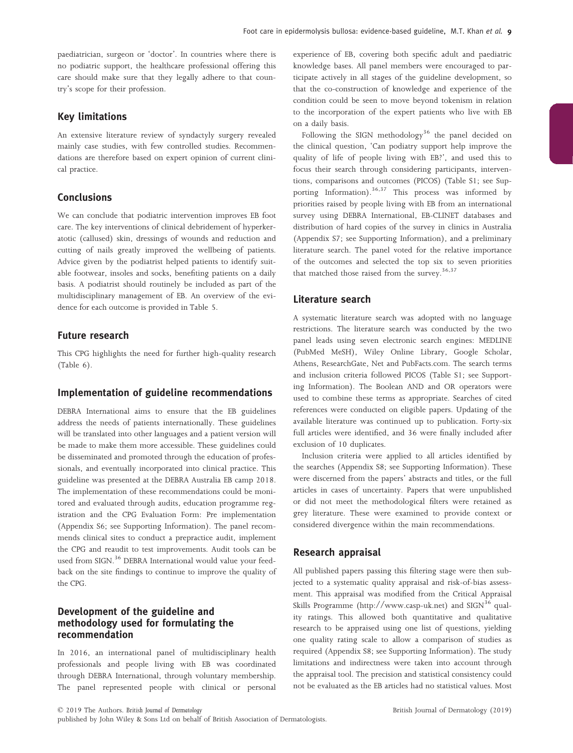paediatrician, surgeon or 'doctor'. In countries where there is no podiatric support, the healthcare professional offering this care should make sure that they legally adhere to that country's scope for their profession.

# Key limitations

An extensive literature review of syndactyly surgery revealed mainly case studies, with few controlled studies. Recommendations are therefore based on expert opinion of current clinical practice.

## Conclusions

We can conclude that podiatric intervention improves EB foot care. The key interventions of clinical debridement of hyperkeratotic (callused) skin, dressings of wounds and reduction and cutting of nails greatly improved the wellbeing of patients. Advice given by the podiatrist helped patients to identify suitable footwear, insoles and socks, benefiting patients on a daily basis. A podiatrist should routinely be included as part of the multidisciplinary management of EB. An overview of the evidence for each outcome is provided in Table 5.

## Future research

This CPG highlights the need for further high-quality research (Table 6).

## Implementation of guideline recommendations

DEBRA International aims to ensure that the EB guidelines address the needs of patients internationally. These guidelines will be translated into other languages and a patient version will be made to make them more accessible. These guidelines could be disseminated and promoted through the education of professionals, and eventually incorporated into clinical practice. This guideline was presented at the DEBRA Australia EB camp 2018. The implementation of these recommendations could be monitored and evaluated through audits, education programme registration and the CPG Evaluation Form: Pre implementation (Appendix S6; see Supporting Information). The panel recommends clinical sites to conduct a prepractice audit, implement the CPG and reaudit to test improvements. Audit tools can be used from SIGN.<sup>36</sup> DEBRA International would value your feedback on the site findings to continue to improve the quality of the CPG.

# Development of the guideline and methodology used for formulating the recommendation

In 2016, an international panel of multidisciplinary health professionals and people living with EB was coordinated through DEBRA International, through voluntary membership. The panel represented people with clinical or personal

experience of EB, covering both specific adult and paediatric knowledge bases. All panel members were encouraged to participate actively in all stages of the guideline development, so that the co-construction of knowledge and experience of the condition could be seen to move beyond tokenism in relation to the incorporation of the expert patients who live with EB on a daily basis.

Following the SIGN methodology<sup>36</sup> the panel decided on the clinical question, 'Can podiatry support help improve the quality of life of people living with EB?', and used this to focus their search through considering participants, interventions, comparisons and outcomes (PICOS) (Table S1; see Supporting Information).<sup>36,37</sup> This process was informed by priorities raised by people living with EB from an international survey using DEBRA International, EB-CLINET databases and distribution of hard copies of the survey in clinics in Australia (Appendix S7; see Supporting Information), and a preliminary literature search. The panel voted for the relative importance of the outcomes and selected the top six to seven priorities that matched those raised from the survey.<sup>36,37</sup>

## Literature search

A systematic literature search was adopted with no language restrictions. The literature search was conducted by the two panel leads using seven electronic search engines: MEDLINE (PubMed MeSH), Wiley Online Library, Google Scholar, Athens, ResearchGate, Net and PubFacts.com. The search terms and inclusion criteria followed PICOS (Table S1; see Supporting Information). The Boolean AND and OR operators were used to combine these terms as appropriate. Searches of cited references were conducted on eligible papers. Updating of the available literature was continued up to publication. Forty-six full articles were identified, and 36 were finally included after exclusion of 10 duplicates.

Inclusion criteria were applied to all articles identified by the searches (Appendix S8; see Supporting Information). These were discerned from the papers' abstracts and titles, or the full articles in cases of uncertainty. Papers that were unpublished or did not meet the methodological filters were retained as grey literature. These were examined to provide context or considered divergence within the main recommendations.

## Research appraisal

All published papers passing this filtering stage were then subjected to a systematic quality appraisal and risk-of-bias assessment. This appraisal was modified from the Critical Appraisal Skills Programme (<http://www.casp-uk.net>) and SIGN<sup>36</sup> quality ratings. This allowed both quantitative and qualitative research to be appraised using one list of questions, yielding one quality rating scale to allow a comparison of studies as required (Appendix S8; see Supporting Information). The study limitations and indirectness were taken into account through the appraisal tool. The precision and statistical consistency could not be evaluated as the EB articles had no statistical values. Most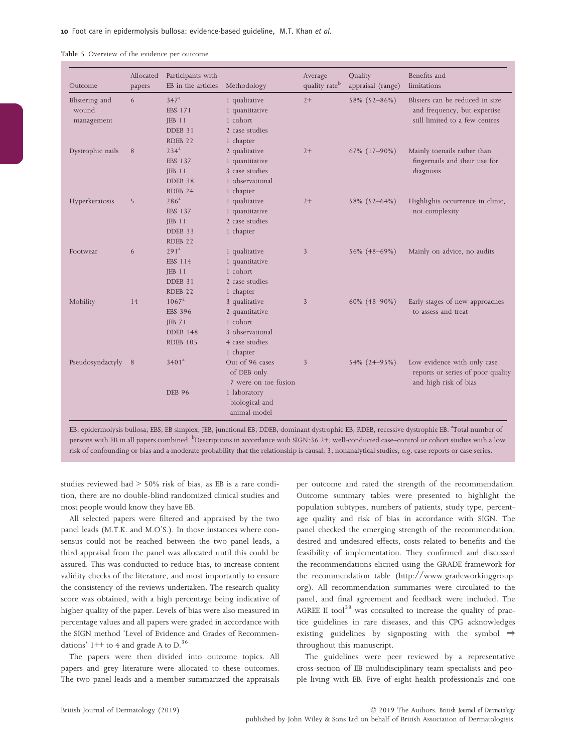| Table 5 Overview of the evidence per outcome |  |
|----------------------------------------------|--|
|----------------------------------------------|--|

| Outcome             | Allocated<br>papers | Participants with<br>EB in the articles | Methodology          | Average<br>quality rate <sup>b</sup> | Quality<br>appraisal (range) | Benefits and<br>limitations                                                               |
|---------------------|---------------------|-----------------------------------------|----------------------|--------------------------------------|------------------------------|-------------------------------------------------------------------------------------------|
| Blistering and      | 6                   | 347 <sup>a</sup>                        | 1 qualitative        | $2+$                                 | 58% (52-86%)                 | Blisters can be reduced in size                                                           |
| wound<br>management |                     | <b>EBS 171</b>                          | 1 quantitative       |                                      |                              | and frequency, but expertise                                                              |
|                     |                     | $JEB$ 11                                | 1 cohort             |                                      |                              | still limited to a few centres                                                            |
|                     |                     | DDEB 31                                 | 2 case studies       |                                      |                              |                                                                                           |
|                     |                     | RDEB <sub>22</sub>                      | 1 chapter            |                                      |                              |                                                                                           |
| Dystrophic nails    | 8                   | 234 <sup>a</sup>                        | 2 qualitative        | $2+$                                 | 67% (17-90%)                 | Mainly toenails rather than                                                               |
|                     |                     | <b>EBS 137</b>                          | 1 quantitative       |                                      |                              | fingernails and their use for<br>diagnosis                                                |
|                     |                     | $JEB$ 11                                | 3 case studies       |                                      |                              |                                                                                           |
|                     |                     | DDEB 38                                 | 1 observational      |                                      |                              |                                                                                           |
|                     |                     | RDEB 24                                 | 1 chapter            |                                      |                              |                                                                                           |
| Hyperkeratosis      | 5                   | 286 <sup>a</sup>                        | 1 qualitative        | $2+$                                 |                              | Highlights occurrence in clinic,                                                          |
|                     |                     | <b>EBS 137</b>                          | 1 quantitative       |                                      | 58% (52-64%)                 | not complexity                                                                            |
|                     |                     | $JEB$ 11                                | 2 case studies       |                                      |                              |                                                                                           |
|                     |                     | DDEB 33                                 | 1 chapter            |                                      |                              |                                                                                           |
|                     |                     | RDEB <sub>22</sub>                      |                      |                                      |                              |                                                                                           |
| Footwear            | 6                   | 291 <sup>a</sup>                        | 1 qualitative        | 3                                    | 56% (48-69%)                 | Mainly on advice, no audits                                                               |
|                     |                     | <b>EBS 114</b>                          | 1 quantitative       |                                      |                              |                                                                                           |
|                     |                     | $JEB$ 11                                | 1 cohort             |                                      |                              |                                                                                           |
|                     |                     | DDEB 31                                 | 2 case studies       |                                      |                              |                                                                                           |
|                     |                     | RDEB <sub>22</sub>                      | 1 chapter            |                                      |                              |                                                                                           |
| Mobility            | 14                  | $1067^a$                                | 3 qualitative        | $\mathfrak{Z}$                       | $60\%$ (48-90%)              | Early stages of new approaches                                                            |
|                     |                     | <b>EBS 396</b>                          | 2 quantitative       |                                      |                              | to assess and treat                                                                       |
|                     |                     | <b>JEB 71</b>                           | 1 cohort             |                                      |                              |                                                                                           |
|                     |                     | <b>DDEB 148</b>                         | 3 observational      |                                      |                              |                                                                                           |
|                     |                     | <b>RDEB 105</b>                         | 4 case studies       |                                      |                              |                                                                                           |
|                     |                     |                                         | 1 chapter            |                                      |                              |                                                                                           |
| Pseudosyndactyly 8  |                     | 3401 <sup>a</sup>                       | Out of 96 cases      | 3                                    | 54% (24-95%)                 | Low evidence with only case<br>reports or series of poor quality<br>and high risk of bias |
|                     |                     |                                         | of DEB only          |                                      |                              |                                                                                           |
|                     |                     |                                         | 7 were on toe fusion |                                      |                              |                                                                                           |
|                     |                     | <b>DEB 96</b>                           | 1 laboratory         |                                      |                              |                                                                                           |
|                     |                     |                                         | biological and       |                                      |                              |                                                                                           |
|                     |                     |                                         | animal model         |                                      |                              |                                                                                           |

EB, epidermolysis bullosa; EBS, EB simplex; JEB, junctional EB; DDEB, dominant dystrophic EB; RDEB, recessive dystrophic EB. <sup>a</sup>Total number of persons with EB in all papers combined. <sup>b</sup>Descriptions in accordance with SIGN:36 2+, well-conducted case–control or cohort studies with a low risk of confounding or bias and a moderate probability that the relationship is causal; 3, nonanalytical studies, e.g. case reports or case series.

studies reviewed had > 50% risk of bias, as EB is a rare condition, there are no double-blind randomized clinical studies and most people would know they have EB.

All selected papers were filtered and appraised by the two panel leads (M.T.K. and M.O'S.). In those instances where consensus could not be reached between the two panel leads, a third appraisal from the panel was allocated until this could be assured. This was conducted to reduce bias, to increase content validity checks of the literature, and most importantly to ensure the consistency of the reviews undertaken. The research quality score was obtained, with a high percentage being indicative of higher quality of the paper. Levels of bias were also measured in percentage values and all papers were graded in accordance with the SIGN method 'Level of Evidence and Grades of Recommendations'  $1++$  to 4 and grade A to D.<sup>36</sup>

The papers were then divided into outcome topics. All papers and grey literature were allocated to these outcomes. The two panel leads and a member summarized the appraisals per outcome and rated the strength of the recommendation. Outcome summary tables were presented to highlight the population subtypes, numbers of patients, study type, percentage quality and risk of bias in accordance with SIGN. The panel checked the emerging strength of the recommendation, desired and undesired effects, costs related to benefits and the feasibility of implementation. They confirmed and discussed the recommendations elicited using the GRADE framework for the recommendation table [\(http://www.gradeworkinggroup.](http://www.gradeworkinggroup.org) [org](http://www.gradeworkinggroup.org)). All recommendation summaries were circulated to the panel, and final agreement and feedback were included. The AGREE II tool<sup>38</sup> was consulted to increase the quality of practice guidelines in rare diseases, and this CPG acknowledges existing guidelines by signposting with the symbol ⇒ throughout this manuscript.

The guidelines were peer reviewed by a representative cross-section of EB multidisciplinary team specialists and people living with EB. Five of eight health professionals and one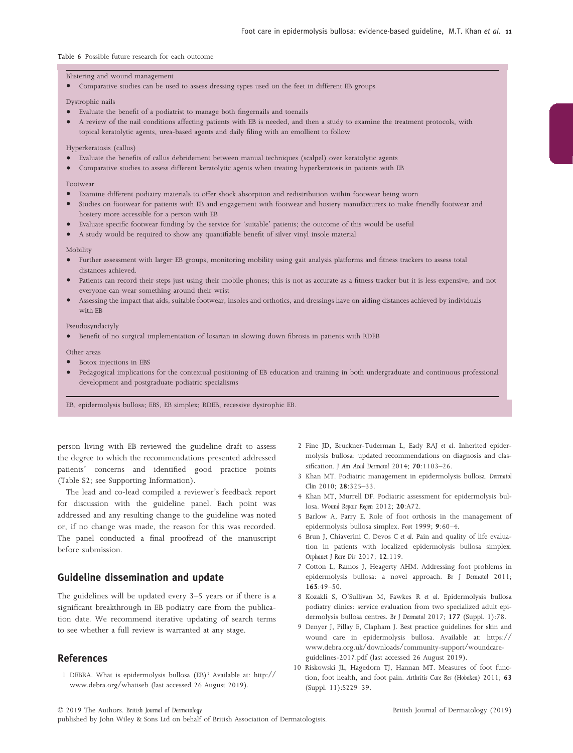#### Table 6 Possible future research for each outcome

#### Blistering and wound management

• Comparative studies can be used to assess dressing types used on the feet in different EB groups

Dystrophic nails

- Evaluate the benefit of a podiatrist to manage both fingernails and toenails
- A review of the nail conditions affecting patients with EB is needed, and then a study to examine the treatment protocols, with topical keratolytic agents, urea-based agents and daily filing with an emollient to follow

#### Hyperkeratosis (callus)

- Evaluate the benefits of callus debridement between manual techniques (scalpel) over keratolytic agents
- Comparative studies to assess different keratolytic agents when treating hyperkeratosis in patients with EB

#### Footwear

- Examine different podiatry materials to offer shock absorption and redistribution within footwear being worn
- Studies on footwear for patients with EB and engagement with footwear and hosiery manufacturers to make friendly footwear and hosiery more accessible for a person with EB
- Evaluate specific footwear funding by the service for 'suitable' patients; the outcome of this would be useful
- A study would be required to show any quantifiable benefit of silver vinyl insole material

#### Mobility

- Further assessment with larger EB groups, monitoring mobility using gait analysis platforms and fitness trackers to assess total distances achieved.
- Patients can record their steps just using their mobile phones; this is not as accurate as a fitness tracker but it is less expensive, and not everyone can wear something around their wrist
- Assessing the impact that aids, suitable footwear, insoles and orthotics, and dressings have on aiding distances achieved by individuals with EB

#### Pseudosyndactyly

• Benefit of no surgical implementation of losartan in slowing down fibrosis in patients with RDEB

#### Other areas

- Botox injections in EBS
- Pedagogical implications for the contextual positioning of EB education and training in both undergraduate and continuous professional development and postgraduate podiatric specialisms

EB, epidermolysis bullosa; EBS, EB simplex; RDEB, recessive dystrophic EB.

person living with EB reviewed the guideline draft to assess the degree to which the recommendations presented addressed patients' concerns and identified good practice points (Table S2; see Supporting Information).

The lead and co-lead compiled a reviewer's feedback report for discussion with the guideline panel. Each point was addressed and any resulting change to the guideline was noted or, if no change was made, the reason for this was recorded. The panel conducted a final proofread of the manuscript before submission.

## Guideline dissemination and update

The guidelines will be updated every 3–5 years or if there is a significant breakthrough in EB podiatry care from the publication date. We recommend iterative updating of search terms to see whether a full review is warranted at any stage.

## References

1 DEBRA. What is epidermolysis bullosa (EB)? Available at: [http://](http://www.debra.org/whatiseb) [www.debra.org/whatiseb](http://www.debra.org/whatiseb) (last accessed 26 August 2019).

- 2 Fine JD, Bruckner-Tuderman L, Eady RAJ et al. Inherited epidermolysis bullosa: updated recommendations on diagnosis and classification. J Am Acad Dermatol 2014; 70:1103–26.
- 3 Khan MT. Podiatric management in epidermolysis bullosa. Dermatol Clin 2010; 28:325–33.
- 4 Khan MT, Murrell DF. Podiatric assessment for epidermolysis bullosa. Wound Repair Regen 2012; 20:A72.
- 5 Barlow A, Parry E. Role of foot orthosis in the management of epidermolysis bullosa simplex. Foot 1999; 9:60–4.
- 6 Brun J, Chiaverini C, Devos C et al. Pain and quality of life evaluation in patients with localized epidermolysis bullosa simplex. Orphanet J Rare Dis 2017; 12:119.
- 7 Cotton L, Ramos J, Heagerty AHM. Addressing foot problems in epidermolysis bullosa: a novel approach. Br J Dermatol 2011; 165:49–50.
- 8 Kozakli S, O'Sullivan M, Fawkes R et al. Epidermolysis bullosa podiatry clinics: service evaluation from two specialized adult epidermolysis bullosa centres. Br J Dermatol 2017; 177 (Suppl. 1):78.
- 9 Denyer J, Pillay E, Clapham J. Best practice guidelines for skin and wound care in epidermolysis bullosa. Available at: [https://](https://www.debra.org.uk/downloads/community-support/woundcare-guidelines-2017.pdf) [www.debra.org.uk/downloads/community-support/woundcare](https://www.debra.org.uk/downloads/community-support/woundcare-guidelines-2017.pdf)[guidelines-2017.pdf](https://www.debra.org.uk/downloads/community-support/woundcare-guidelines-2017.pdf) (last accessed 26 August 2019).
- 10 Riskowski JL, Hagedorn TJ, Hannan MT. Measures of foot function, foot health, and foot pain. Arthritis Care Res (Hoboken) 2011; 63 (Suppl. 11):S229–39.